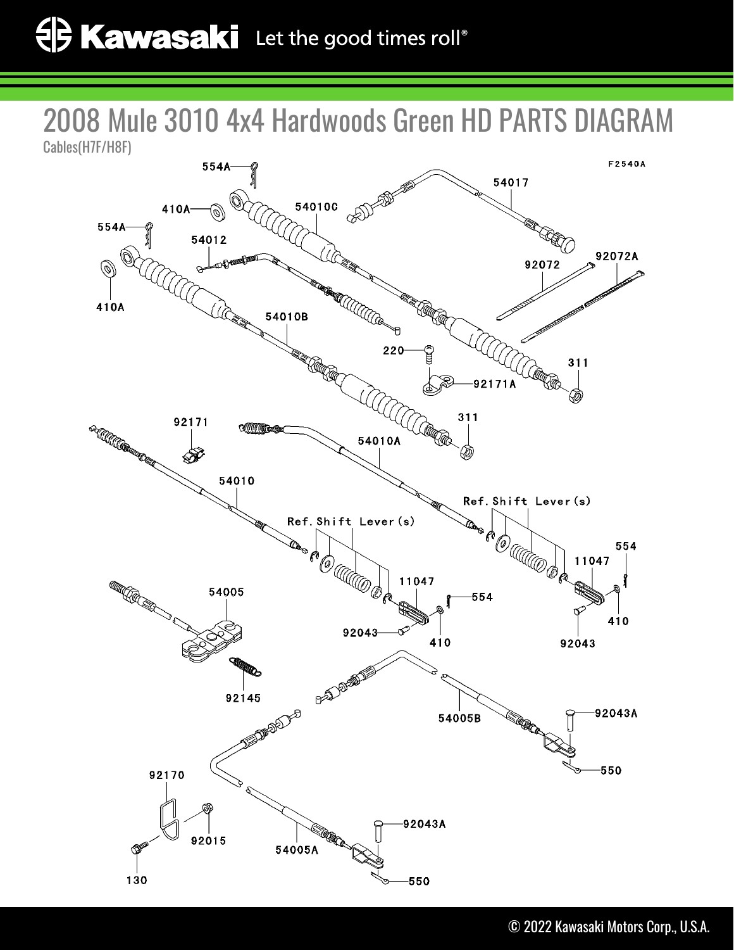2008 Mule 3010 4x4 Hardwoods Green HD PARTS DIAGRAM Cables(H7F/H8F)